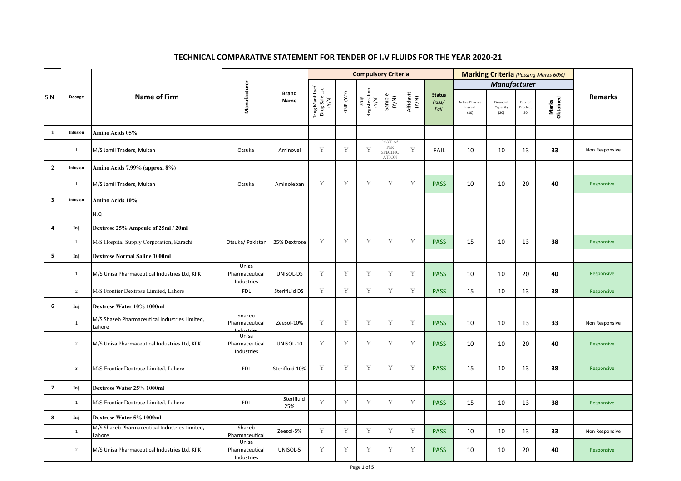|                         |                |                                                         |                                        |                             |                                          |                            | <b>Compulsory Criteria</b>     |                                           |                    |                                | <b>Marking Criteria</b> (Passing Marks 60%) |                               |                            |                   |                |
|-------------------------|----------------|---------------------------------------------------------|----------------------------------------|-----------------------------|------------------------------------------|----------------------------|--------------------------------|-------------------------------------------|--------------------|--------------------------------|---------------------------------------------|-------------------------------|----------------------------|-------------------|----------------|
|                         |                | <b>Name of Firm</b>                                     | Manufacturer                           | <b>Brand</b><br><b>Name</b> |                                          |                            |                                |                                           |                    |                                |                                             | <b>Manufacturer</b>           |                            |                   |                |
| S.N                     | <b>Dosage</b>  |                                                         |                                        |                             | Drug Manf.Lsc/<br>Drug Sale Lsc<br>(Y/N) | ${\rm GMP}\,$ ${\rm (YN)}$ | Drug<br>Registeration<br>(Y/N) | Sample<br>(Y/N)                           | Affidavit<br>(Y/N) | <b>Status</b><br>Pass/<br>Fail | Active Pharma<br>Ingred.<br>(20)            | Financial<br>Capacity<br>(20) | Exp. of<br>Product<br>(20) | Marks<br>Obtained | <b>Remarks</b> |
| 1                       | Infusion       | Amino Acids 05%                                         |                                        |                             |                                          |                            |                                |                                           |                    |                                |                                             |                               |                            |                   |                |
|                         | -1             | M/S Jamil Traders, Multan                               | Otsuka                                 | Aminovel                    | Y                                        | Y                          | Y                              | NOT AS<br>PER<br>SPECIFIO<br><b>ATION</b> | $\mathbf{V}$       | FAIL                           | 10                                          | 10                            | 13                         | 33                | Non Responsive |
| $\overline{2}$          | Infusion       | Amino Acids 7.99% (approx. 8%)                          |                                        |                             |                                          |                            |                                |                                           |                    |                                |                                             |                               |                            |                   |                |
|                         | 1              | M/S Jamil Traders, Multan                               | Otsuka                                 | Aminoleban                  | Y                                        | Y                          | Y                              | Y                                         | $\triangledown$    | <b>PASS</b>                    | 10                                          | 10                            | 20                         | 40                | Responsive     |
| $\mathbf{3}$            | Infusion       | Amino Acids 10%                                         |                                        |                             |                                          |                            |                                |                                           |                    |                                |                                             |                               |                            |                   |                |
|                         |                | N.Q                                                     |                                        |                             |                                          |                            |                                |                                           |                    |                                |                                             |                               |                            |                   |                |
| 4                       | Inj            | Dextrose 25% Ampoule of 25ml / 20ml                     |                                        |                             |                                          |                            |                                |                                           |                    |                                |                                             |                               |                            |                   |                |
|                         |                | M/S Hospital Supply Corporation, Karachi                | Otsuka/ Pakistan                       | 25% Dextrose                | Y                                        | Y                          | Y                              | Y                                         | $\mathbf V$        | <b>PASS</b>                    | 15                                          | 10                            | 13                         | 38                | Responsive     |
| 5                       | Inj            | <b>Dextrose Normal Saline 1000ml</b>                    |                                        |                             |                                          |                            |                                |                                           |                    |                                |                                             |                               |                            |                   |                |
|                         | $\mathbf{1}$   | M/S Unisa Pharmaceutical Industries Ltd, KPK            | Unisa<br>Pharmaceutical<br>Industries  | UNISOL-DS                   | Y                                        | Y                          | Y                              | Y                                         | Y                  | <b>PASS</b>                    | 10                                          | 10                            | 20                         | 40                | Responsive     |
|                         | $\overline{2}$ | M/S Frontier Dextrose Limited, Lahore                   | <b>FDL</b>                             | Sterifluid DS               | Y                                        | Y                          | Y                              | Y                                         | Y                  | <b>PASS</b>                    | 15                                          | 10                            | 13                         | 38                | Responsive     |
| 6                       | Inj            | Dextrose Water 10% 1000ml                               |                                        |                             |                                          |                            |                                |                                           |                    |                                |                                             |                               |                            |                   |                |
|                         | $\mathbf{1}$   | M/S Shazeb Pharmaceutical Industries Limited,<br>Lahore | snazep<br>Pharmaceutical<br>Inductries | Zeesol-10%                  | Y                                        | Y                          | Y                              | Y                                         | Y                  | <b>PASS</b>                    | 10                                          | 10                            | 13                         | 33                | Non Responsive |
|                         | $\overline{2}$ | M/S Unisa Pharmaceutical Industries Ltd, KPK            | Unisa<br>Pharmaceutical<br>Industries  | UNISOL-10                   | Y                                        | Y                          | Y                              | Y                                         | Y                  | <b>PASS</b>                    | 10                                          | 10                            | 20                         | 40                | Responsive     |
|                         | $\overline{3}$ | M/S Frontier Dextrose Limited, Lahore                   | <b>FDL</b>                             | Sterifluid 10%              | Y                                        | Y                          | Y                              | Y                                         | Y                  | <b>PASS</b>                    | 15                                          | 10                            | 13                         | 38                | Responsive     |
| $\overline{\mathbf{z}}$ | Inj            | Dextrose Water 25% 1000ml                               |                                        |                             |                                          |                            |                                |                                           |                    |                                |                                             |                               |                            |                   |                |
|                         | $\mathbf{1}$   | M/S Frontier Dextrose Limited, Lahore                   | <b>FDL</b>                             | Sterifluid<br>25%           | Y                                        | Y                          | Y                              | Y                                         | Y                  | <b>PASS</b>                    | 15                                          | 10                            | 13                         | 38                | Responsive     |
| 8                       | Inj            | Dextrose Water 5% 1000ml                                |                                        |                             |                                          |                            |                                |                                           |                    |                                |                                             |                               |                            |                   |                |
|                         | $\mathbf{1}$   | M/S Shazeb Pharmaceutical Industries Limited,<br>Lahore | Shazeb<br>Pharmaceutical               | Zeesol-5%                   | Y                                        | Y                          | Y                              | Y                                         | Y                  | <b>PASS</b>                    | 10                                          | 10                            | 13                         | 33                | Non Responsive |
|                         | $\overline{2}$ | M/S Unisa Pharmaceutical Industries Ltd, KPK            | Unisa<br>Pharmaceutical<br>Industries  | UNISOL-5                    | Y                                        | Y                          | Y                              | Y                                         | Y                  | <b>PASS</b>                    | 10                                          | 10                            | 20                         | 40                | Responsive     |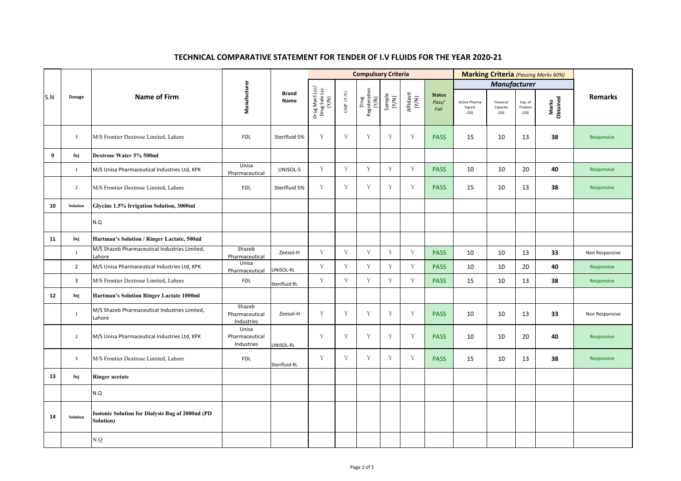|     |                         |                                                                      |                                        |                             |                                          |                            | <b>Compulsory Criteria</b>     |                 |                    |                                | <b>Marking Criteria</b> (Passing Marks 60%) |                               |                            |                   |                |
|-----|-------------------------|----------------------------------------------------------------------|----------------------------------------|-----------------------------|------------------------------------------|----------------------------|--------------------------------|-----------------|--------------------|--------------------------------|---------------------------------------------|-------------------------------|----------------------------|-------------------|----------------|
|     |                         |                                                                      |                                        |                             |                                          |                            |                                |                 |                    |                                |                                             | <b>Manufacturer</b>           |                            |                   |                |
| S.N | <b>Dosage</b>           | <b>Name of Firm</b>                                                  | Manufacturer                           | <b>Brand</b><br><b>Name</b> | Drug Manf.Lsc/<br>Drug Sale Lsc<br>(Y/N) | $\mbox{GMP}$ $(\mbox{YM})$ | Drug<br>Registeration<br>(Y/N) | Sample<br>(Y/N) | Affidavit<br>(Y/N) | <b>Status</b><br>Pass/<br>Fail | Active Pharma<br>Ingred.<br>(20)            | Financial<br>Capacity<br>(20) | Exp. of<br>Product<br>(20) | Marks<br>Obtained | <b>Remarks</b> |
|     | $\mathbf{3}$            | M/S Frontier Dextrose Limited, Lahore                                | <b>FDL</b>                             | Sterifluid 5%               | Y                                        | Y                          | Y                              | Y               | Y                  | <b>PASS</b>                    | 15                                          | 10                            | 13                         | 38                | Responsive     |
| 9   | Inj                     | Dextrose Water 5% 500ml                                              |                                        |                             |                                          |                            |                                |                 |                    |                                |                                             |                               |                            |                   |                |
|     | $\mathbf{1}$            | M/S Unisa Pharmaceutical Industries Ltd, KPK                         | Unisa<br>Pharmaceutical                | UNISOL-5                    | Y                                        | Y                          | Y                              | Y               | $\mathbf V$        | <b>PASS</b>                    | 10                                          | 10                            | 20                         | 40                | Responsive     |
|     | $\overline{2}$          | M/S Frontier Dextrose Limited, Lahore                                | <b>FDL</b>                             | Sterifluid 5%               | Y                                        | Y                          | Y                              | Y               | $\mathbf{V}$       | <b>PASS</b>                    | 15                                          | 10                            | 13                         | 38                | Responsive     |
| 10  | Solution                | Glycine 1.5% Irrigation Solution, 3000ml                             |                                        |                             |                                          |                            |                                |                 |                    |                                |                                             |                               |                            |                   |                |
|     |                         | N.Q                                                                  |                                        |                             |                                          |                            |                                |                 |                    |                                |                                             |                               |                            |                   |                |
| 11  | Inj                     | Hartman's Solution / Ringer Lactate, 500ml                           |                                        |                             |                                          |                            |                                |                 |                    |                                |                                             |                               |                            |                   |                |
|     | $\mathbf{1}$            | M/S Shazeb Pharmaceutical Industries Limited,<br>Lahore              | Shazeb<br>Pharmaceutical               | Zeesol-H                    | Y                                        | Y                          | Y                              | Y               | Y                  | <b>PASS</b>                    | 10                                          | 10                            | 13                         | 33                | Non Responsive |
|     | $\overline{2}$          | M/S Unisa Pharmaceutical Industries Ltd, KPK                         | Unisa<br>Pharmaceutical                | UNISOL-RL                   | Y                                        | Y                          | Y                              | Y               | Y                  | <b>PASS</b>                    | 10                                          | 10                            | 20                         | 40                | Responsive     |
|     | $\mathbf{3}$            | M/S Frontier Dextrose Limited, Lahore                                | <b>FDL</b>                             | Sterifluid RL               | Y                                        | Y                          | Y                              | Y               | $\mathbf{V}$       | <b>PASS</b>                    | 15                                          | 10                            | 13                         | 38                | Responsive     |
| 12  | Inj                     | Hartman's Solution Ringer Lactate 1000ml                             |                                        |                             |                                          |                            |                                |                 |                    |                                |                                             |                               |                            |                   |                |
|     | $\mathbf{1}$            | M/S Shazeb Pharmaceutical Industries Limited,<br>Lahore              | Shazeb<br>Pharmaceutical<br>Industries | Zeesol-H                    | Y                                        | Y                          | Y                              | Y               | Y                  | <b>PASS</b>                    | 10                                          | 10                            | 13                         | 33                | Non Responsive |
|     | $\overline{2}$          | M/S Unisa Pharmaceutical Industries Ltd, KPK                         | Unisa<br>Pharmaceutical<br>Industries  | UNISOL-RL                   | Y                                        | Y                          | Y                              | Y               | Y                  | <b>PASS</b>                    | 10                                          | 10                            | 20                         | 40                | Responsive     |
|     | $\overline{\mathbf{3}}$ | M/S Frontier Dextrose Limited, Lahore                                | <b>FDL</b>                             | Sterifluid RL               | Y                                        | Y                          | Y                              | Y               | $\mathbf V$        | <b>PASS</b>                    | 15                                          | 10                            | 13                         | 38                | Responsive     |
| 13  | Inj                     | <b>Ringer acetate</b>                                                |                                        |                             |                                          |                            |                                |                 |                    |                                |                                             |                               |                            |                   |                |
|     |                         | N.Q                                                                  |                                        |                             |                                          |                            |                                |                 |                    |                                |                                             |                               |                            |                   |                |
| 14  | Solution                | <b>Isotonic Solution for Dialysis Bag of 2000ml (PD</b><br>Solution) |                                        |                             |                                          |                            |                                |                 |                    |                                |                                             |                               |                            |                   |                |
|     |                         | N.Q                                                                  |                                        |                             |                                          |                            |                                |                 |                    |                                |                                             |                               |                            |                   |                |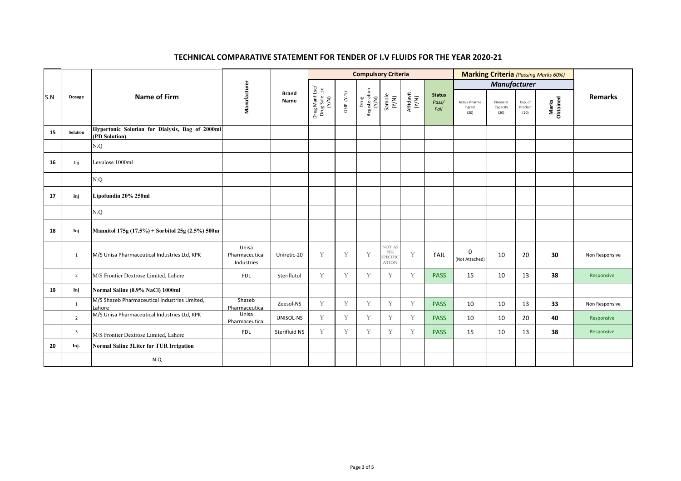|     |                |                                                                  |                                                                         | <b>Compulsory Criteria</b> |                            |                                |                 |                                           |                                |                                  | <b>Marking Criteria</b> (Passing Marks 60%) |                            |                   |                |                |  |
|-----|----------------|------------------------------------------------------------------|-------------------------------------------------------------------------|----------------------------|----------------------------|--------------------------------|-----------------|-------------------------------------------|--------------------------------|----------------------------------|---------------------------------------------|----------------------------|-------------------|----------------|----------------|--|
|     |                |                                                                  |                                                                         |                            |                            |                                |                 |                                           |                                |                                  |                                             | <b>Manufacturer</b>        |                   |                |                |  |
| S.N | <b>Dosage</b>  | Manufacturer<br><b>Name of Firm</b>                              | Drug Manf.Lsc/<br>Drug Sale Lsc<br>(Y/N)<br><b>Brand</b><br><b>Name</b> |                            | $\mbox{GMP}$ $(\mbox{YN})$ | Drug<br>Registeration<br>(Y/N) | Sample<br>(Y/N) | Affidavit<br>(Y/N)                        | <b>Status</b><br>Pass/<br>Fail | Active Pharma<br>Ingred.<br>(20) | Financial<br>Capacity<br>(20)               | Exp. of<br>Product<br>(20) | Marks<br>Obtained | <b>Remarks</b> |                |  |
| 15  | Solution       | Hypertonic Solution for Dialysis, Bag of 2000ml<br>(PD Solution) |                                                                         |                            |                            |                                |                 |                                           |                                |                                  |                                             |                            |                   |                |                |  |
|     |                | N.Q                                                              |                                                                         |                            |                            |                                |                 |                                           |                                |                                  |                                             |                            |                   |                |                |  |
| 16  | Inj            | Levulose 1000ml                                                  |                                                                         |                            |                            |                                |                 |                                           |                                |                                  |                                             |                            |                   |                |                |  |
|     |                | N.Q                                                              |                                                                         |                            |                            |                                |                 |                                           |                                |                                  |                                             |                            |                   |                |                |  |
| 17  | Inj            | Lipofundin 20% 250ml                                             |                                                                         |                            |                            |                                |                 |                                           |                                |                                  |                                             |                            |                   |                |                |  |
|     |                | N.Q                                                              |                                                                         |                            |                            |                                |                 |                                           |                                |                                  |                                             |                            |                   |                |                |  |
| 18  | Inj            | Mannitol 175g $(17.5\%)$ + Sorbitol 25g $(2.5\%)$ 500m           |                                                                         |                            |                            |                                |                 |                                           |                                |                                  |                                             |                            |                   |                |                |  |
|     | 1              | M/S Unisa Pharmaceutical Industries Ltd, KPK                     | Unisa<br>Pharmaceutical<br>Industries                                   | Uniretic-20                | Y                          | Y                              | Y               | NOT AS<br>PER<br>SPECIFIC<br><b>ATION</b> | $\mathbf{V}$                   | FAIL                             | $\mathbf 0$<br>(Not Attached)               | 10                         | 20                | 30             | Non Responsive |  |
|     | $\overline{2}$ | M/S Frontier Dextrose Limited, Lahore                            | <b>FDL</b>                                                              | Steriflutol                | Y                          | Y                              | Y               | Y                                         | Y                              | <b>PASS</b>                      | 15                                          | 10                         | 13                | 38             | Responsive     |  |
| 19  | Inj            | Normal Saline (0.9% NaCl) 1000ml                                 |                                                                         |                            |                            |                                |                 |                                           |                                |                                  |                                             |                            |                   |                |                |  |
|     | $\mathbf{1}$   | M/S Shazeb Pharmaceutical Industries Limited,<br>Lahore          | Shazeb<br>Pharmaceutical                                                | Zeesol-NS                  | Y                          | Y                              | Y               | Y                                         | Y                              | <b>PASS</b>                      | 10                                          | 10                         | 13                | 33             | Non Responsive |  |
|     | $\overline{2}$ | M/S Unisa Pharmaceutical Industries Ltd, KPK                     | Unisa<br>Pharmaceutical                                                 | UNISOL-NS                  | Y                          | Y                              | Y               | Y                                         | $\mathbf{Y}$                   | <b>PASS</b>                      | 10                                          | 10                         | 20                | 40             | Responsive     |  |
|     | $\overline{3}$ | M/S Frontier Dextrose Limited, Lahore                            | <b>FDL</b>                                                              | Sterifluid NS              | Y                          | Y                              | Y               | Y                                         | Y                              | <b>PASS</b>                      | 15                                          | 10                         | 13                | 38             | Responsive     |  |
| 20  | Inj.           | Normal Saline 3Liter for TUR Irrigation                          |                                                                         |                            |                            |                                |                 |                                           |                                |                                  |                                             |                            |                   |                |                |  |
|     |                | N.Q                                                              |                                                                         |                            |                            |                                |                 |                                           |                                |                                  |                                             |                            |                   |                |                |  |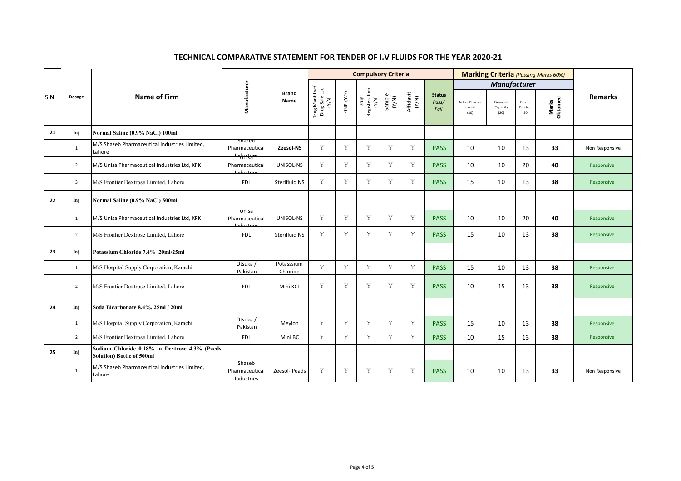|     |                |                                                                                   |                                                      |                        |                                              |                                           | <b>Compulsory Criteria</b>     |                 |                    |                                | <b>Marking Criteria</b> (Passing Marks 60%) |                               |                            |                   |                |
|-----|----------------|-----------------------------------------------------------------------------------|------------------------------------------------------|------------------------|----------------------------------------------|-------------------------------------------|--------------------------------|-----------------|--------------------|--------------------------------|---------------------------------------------|-------------------------------|----------------------------|-------------------|----------------|
|     |                |                                                                                   |                                                      |                        |                                              |                                           |                                |                 |                    |                                |                                             |                               |                            |                   |                |
| S.N | <b>Dosage</b>  | <b>Name of Firm</b>                                                               | Manufacturer                                         | <b>Brand</b><br>Name   | Drug Manf.Lsc/<br>5c<br>Drug Sale I<br>(Y/N) | $\text{GMP}\,$ $\left( \text{YN} \right)$ | Drug<br>Registeration<br>(Y/N) | Sample<br>(Y/N) | Affidavit<br>(Y/N) | <b>Status</b><br>Pass/<br>Fail | <b>Active Pharma</b><br>Ingred.<br>(20)     | Financial<br>Capacity<br>(20) | Exp. of<br>Product<br>(20) | Marks<br>Obtained | <b>Remarks</b> |
| 21  | Inj            | Normal Saline (0.9% NaCl) 100ml                                                   |                                                      |                        |                                              |                                           |                                |                 |                    |                                |                                             |                               |                            |                   |                |
|     | $\mathbf{1}$   | M/S Shazeb Pharmaceutical Industries Limited,<br>Lahore                           | <b>Shazeb</b><br>Pharmaceutical<br><u>Industries</u> | Zeesol-NS              | $\mathbf V$                                  | Y                                         | Y                              | Y               | Y                  | <b>PASS</b>                    | 10                                          | 10                            | 13                         | 33                | Non Responsive |
|     | $\overline{2}$ | M/S Unisa Pharmaceutical Industries Ltd, KPK                                      | Pharmaceutical<br>Inductrios                         | UNISOL-NS              | Y                                            | Y                                         | Y                              | Y               | Y                  | <b>PASS</b>                    | 10                                          | 10                            | 20                         | 40                | Responsive     |
|     | $\overline{3}$ | M/S Frontier Dextrose Limited, Lahore                                             | <b>FDL</b>                                           | Sterifluid NS          | Y                                            | Y                                         | Y                              | Y               | Y                  | <b>PASS</b>                    | 15                                          | 10                            | 13                         | 38                | Responsive     |
| 22  | Inj            | Normal Saline (0.9% NaCl) 500ml                                                   |                                                      |                        |                                              |                                           |                                |                 |                    |                                |                                             |                               |                            |                   |                |
|     | $\mathbf{1}$   | M/S Unisa Pharmaceutical Industries Ltd, KPK                                      | <u>omsa</u><br>Pharmaceutical<br>منتعساهم            | UNISOL-NS              | $\mathbf V$                                  | Y                                         | Y                              | Y               | Y                  | <b>PASS</b>                    | 10                                          | 10                            | 20                         | 40                | Responsive     |
|     | $\overline{2}$ | M/S Frontier Dextrose Limited, Lahore                                             | <b>FDL</b>                                           | Sterifluid NS          | Y                                            | Y                                         | Y                              | Y               | Y                  | <b>PASS</b>                    | 15                                          | 10                            | 13                         | 38                | Responsive     |
| 23  | Inj            | Potassium Chloride 7.4% 20ml/25ml                                                 |                                                      |                        |                                              |                                           |                                |                 |                    |                                |                                             |                               |                            |                   |                |
|     | $\mathbf{1}$   | M/S Hospital Supply Corporation, Karachi                                          | Otsuka /<br>Pakistan                                 | Potasssium<br>Chloride | $\mathbf{V}$                                 | Y                                         | Y                              | Y               | Y                  | <b>PASS</b>                    | 15                                          | 10                            | 13                         | 38                | Responsive     |
|     | $\overline{2}$ | M/S Frontier Dextrose Limited, Lahore                                             | <b>FDL</b>                                           | Mini KCL               | $\overline{X}$                               | $\overline{X}$                            | $\overline{X}$                 | $\overline{X}$  |                    | <b>PASS</b>                    | 10                                          | 15                            | 13                         | 38                | Responsive     |
| 24  | Inj            | Soda Bicarbonate 8.4%, 25ml / 20ml                                                |                                                      |                        |                                              |                                           |                                |                 |                    |                                |                                             |                               |                            |                   |                |
|     | $\mathbf{1}$   | M/S Hospital Supply Corporation, Karachi                                          | Otsuka /<br>Pakistan                                 | Meylon                 | Y                                            | Y                                         | Y                              | Y               | Y                  | <b>PASS</b>                    | 15                                          | 10                            | 13                         | 38                | Responsive     |
|     | $\overline{2}$ | M/S Frontier Dextrose Limited, Lahore                                             | <b>FDL</b>                                           | Mini BC                | Y                                            | Y                                         | Y                              | Y               | Y                  | <b>PASS</b>                    | 10                                          | 15                            | 13                         | 38                | Responsive     |
| 25  | Inj            | Sodium Chloride 0.18% in Dextrose 4.3% (Paeds<br><b>Solution) Bottle of 500ml</b> |                                                      |                        |                                              |                                           |                                |                 |                    |                                |                                             |                               |                            |                   |                |
|     | $\mathbf{1}$   | M/S Shazeb Pharmaceutical Industries Limited,<br>Lahore                           | Shazeb<br>Pharmaceutical<br>Industries               | Zeesol- Peads          | Y                                            | Y                                         | Y                              | Y               | Y                  | <b>PASS</b>                    | 10                                          | 10                            | 13                         | 33                | Non Responsive |